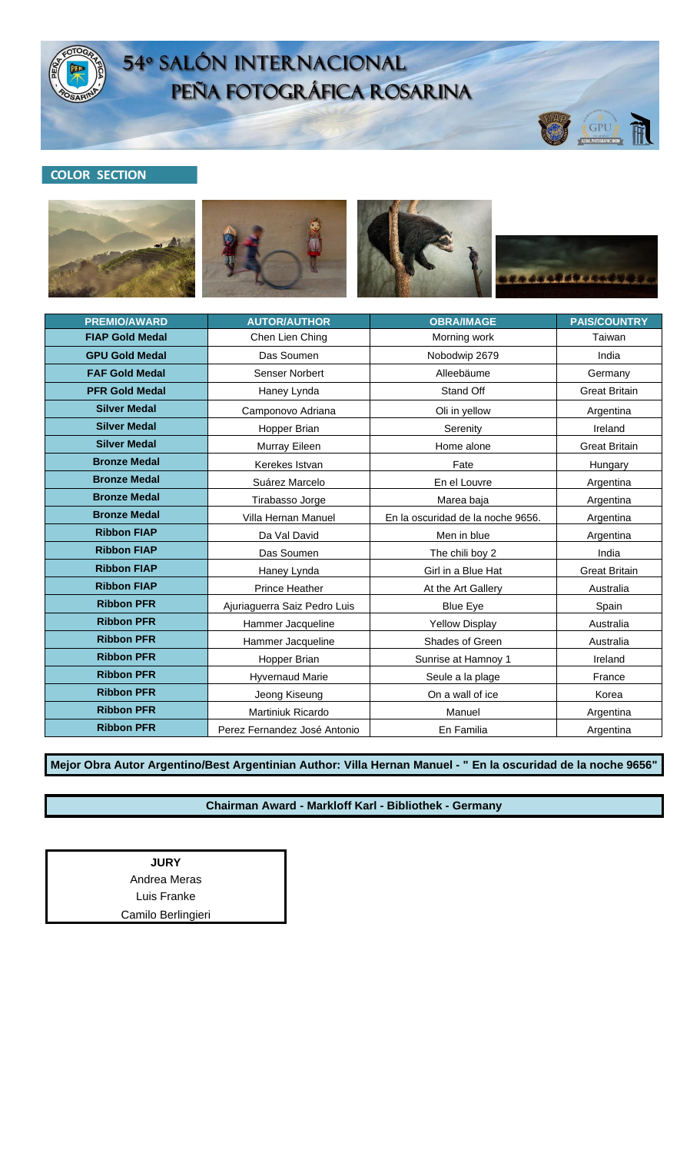

# 54º SALÓN INTERNACIONAL<br>PEÑA FOTOGRÁFICA ROSARINA

## **COLOR SECTION**









GPU

| <b>PREMIO/AWARD</b>    | <b>AUTOR/AUTHOR</b>          | <b>OBRA/IMAGE</b>                 | <b>PAIS/COUNTRY</b>  |
|------------------------|------------------------------|-----------------------------------|----------------------|
| <b>FIAP Gold Medal</b> | Chen Lien Ching              | Morning work                      | Taiwan               |
| <b>GPU Gold Medal</b>  | Das Soumen                   | Nobodwip 2679                     | India                |
| <b>FAF Gold Medal</b>  | Senser Norbert               | Alleebäume                        | Germany              |
| <b>PFR Gold Medal</b>  | Haney Lynda                  | Stand Off                         | <b>Great Britain</b> |
| <b>Silver Medal</b>    | Camponovo Adriana            | Oli in yellow                     | Argentina            |
| <b>Silver Medal</b>    | Hopper Brian                 | Serenity                          | Ireland              |
| <b>Silver Medal</b>    | Murray Eileen                | Home alone                        | <b>Great Britain</b> |
| <b>Bronze Medal</b>    | Kerekes Istvan               | Fate                              | Hungary              |
| <b>Bronze Medal</b>    | Suárez Marcelo               | En el Louvre                      | Argentina            |
| <b>Bronze Medal</b>    | Tirabasso Jorge              | Marea baja                        | Argentina            |
| <b>Bronze Medal</b>    | Villa Hernan Manuel          | En la oscuridad de la noche 9656. | Argentina            |
| <b>Ribbon FIAP</b>     | Da Val David                 | Men in blue                       | Argentina            |
| <b>Ribbon FIAP</b>     | Das Soumen                   | The chili boy 2                   | India                |
| <b>Ribbon FIAP</b>     | Haney Lynda                  | Girl in a Blue Hat                | <b>Great Britain</b> |
| <b>Ribbon FIAP</b>     | <b>Prince Heather</b>        | At the Art Gallery                | Australia            |
| <b>Ribbon PFR</b>      | Ajuriaguerra Saiz Pedro Luis | <b>Blue Eye</b>                   | Spain                |
| <b>Ribbon PFR</b>      | Hammer Jacqueline            | <b>Yellow Display</b>             | Australia            |
| <b>Ribbon PFR</b>      | Hammer Jacqueline            | Shades of Green                   | Australia            |
| <b>Ribbon PFR</b>      | Hopper Brian                 | Sunrise at Hamnoy 1               | Ireland              |
| <b>Ribbon PFR</b>      | <b>Hyvernaud Marie</b>       | Seule a la plage                  | France               |
| <b>Ribbon PFR</b>      | Jeong Kiseung                | On a wall of ice                  | Korea                |
| <b>Ribbon PFR</b>      | Martiniuk Ricardo            | Manuel                            | Argentina            |
| <b>Ribbon PFR</b>      | Perez Fernandez José Antonio | En Familia                        | Argentina            |

**Mejor Obra Autor Argentino/Best Argentinian Author: Villa Hernan Manuel - " En la oscuridad de la noche 9656"**

#### **Chairman Award - Markloff Karl - Bibliothek - Germany**

**JURY** Andrea Meras Luis Franke Camilo Berlingieri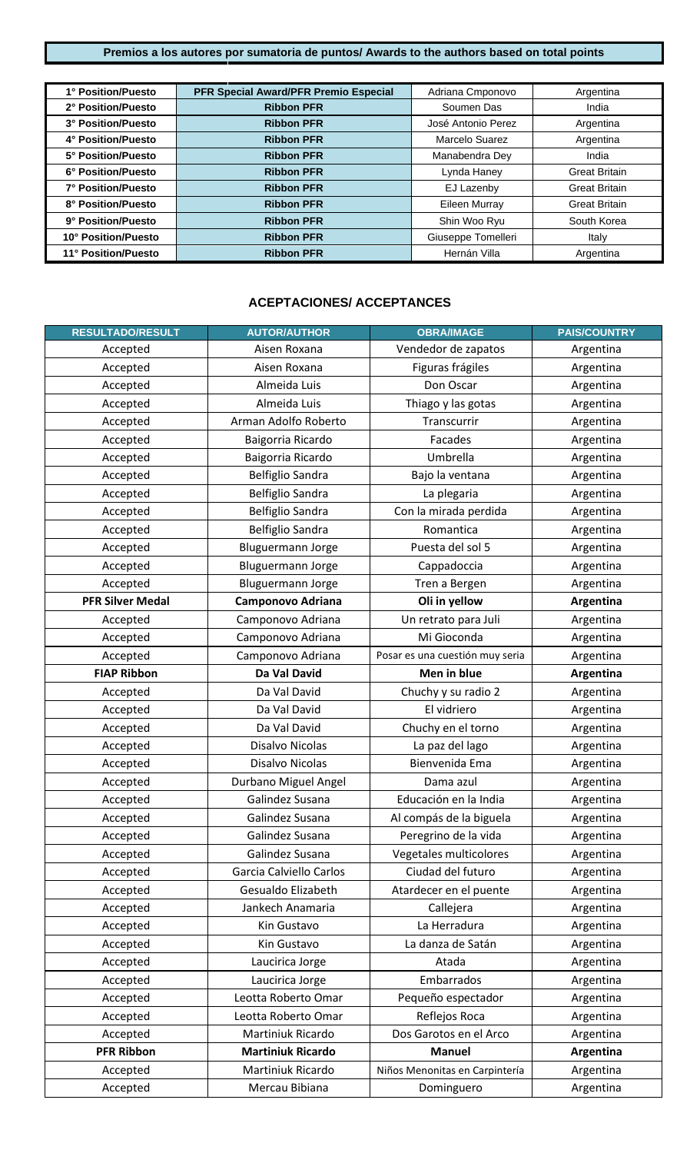### **Premios a los autores por sumatoria de puntos/ Awards to the authors based on total points**

| 1° Position/Puesto  | PFR Special Award/PFR Premio Especial | Adriana Cmponovo   | Argentina            |
|---------------------|---------------------------------------|--------------------|----------------------|
| 2° Position/Puesto  | <b>Ribbon PFR</b>                     | Soumen Das         | India                |
| 3° Position/Puesto  | <b>Ribbon PFR</b>                     | José Antonio Perez | Argentina            |
| 4° Position/Puesto  | <b>Ribbon PFR</b>                     | Marcelo Suarez     | Argentina            |
| 5° Position/Puesto  | <b>Ribbon PFR</b>                     | Manabendra Dey     | India                |
| 6° Position/Puesto  | <b>Ribbon PFR</b>                     | Lynda Haney        | <b>Great Britain</b> |
| 7° Position/Puesto  | <b>Ribbon PFR</b>                     | EJ Lazenby         | <b>Great Britain</b> |
| 8° Position/Puesto  | <b>Ribbon PFR</b>                     | Eileen Murray      | <b>Great Britain</b> |
| 9° Position/Puesto  | <b>Ribbon PFR</b>                     | Shin Woo Ryu       | South Korea          |
| 10° Position/Puesto | <b>Ribbon PFR</b>                     | Giuseppe Tomelleri | Italy                |
| 11° Position/Puesto | <b>Ribbon PFR</b>                     | Hernán Villa       | Argentina            |

## **ACEPTACIONES/ ACCEPTANCES**

| <b>RESULTADO/RESULT</b> | <b>AUTOR/AUTHOR</b>      | <b>OBRA/IMAGE</b>               | <b>PAIS/COUNTRY</b> |
|-------------------------|--------------------------|---------------------------------|---------------------|
| Accepted                | Aisen Roxana             | Vendedor de zapatos             | Argentina           |
| Accepted                | Aisen Roxana             | Figuras frágiles                | Argentina           |
| Accepted                | Almeida Luis             | Don Oscar                       | Argentina           |
| Accepted                | Almeida Luis             | Thiago y las gotas              | Argentina           |
| Accepted                | Arman Adolfo Roberto     | Transcurrir                     | Argentina           |
| Accepted                | Baigorria Ricardo        | Facades                         | Argentina           |
| Accepted                | Baigorria Ricardo        | Umbrella                        | Argentina           |
| Accepted                | <b>Belfiglio Sandra</b>  | Bajo la ventana                 | Argentina           |
| Accepted                | <b>Belfiglio Sandra</b>  | La plegaria                     | Argentina           |
| Accepted                | <b>Belfiglio Sandra</b>  | Con la mirada perdida           | Argentina           |
| Accepted                | <b>Belfiglio Sandra</b>  | Romantica                       | Argentina           |
| Accepted                | Bluguermann Jorge        | Puesta del sol 5                | Argentina           |
| Accepted                | Bluguermann Jorge        | Cappadoccia                     | Argentina           |
| Accepted                | Bluguermann Jorge        | Tren a Bergen                   | Argentina           |
| <b>PFR Silver Medal</b> | <b>Camponovo Adriana</b> | Oli in yellow                   | Argentina           |
| Accepted                | Camponovo Adriana        | Un retrato para Juli            | Argentina           |
| Accepted                | Camponovo Adriana        | Mi Gioconda                     | Argentina           |
| Accepted                | Camponovo Adriana        | Posar es una cuestión muy seria | Argentina           |
| <b>FIAP Ribbon</b>      | Da Val David             | Men in blue                     | Argentina           |
| Accepted                | Da Val David             | Chuchy y su radio 2             | Argentina           |
| Accepted                | Da Val David             | El vidriero                     | Argentina           |
| Accepted                | Da Val David             | Chuchy en el torno              | Argentina           |
| Accepted                | Disalvo Nicolas          | La paz del lago                 | Argentina           |
| Accepted                | Disalvo Nicolas          | Bienvenida Ema                  | Argentina           |
| Accepted                | Durbano Miguel Angel     | Dama azul                       | Argentina           |
| Accepted                | Galindez Susana          | Educación en la India           | Argentina           |
| Accepted                | Galindez Susana          | Al compás de la biguela         | Argentina           |
| Accepted                | Galindez Susana          | Peregrino de la vida            | Argentina           |
| Accepted                | Galindez Susana          | Vegetales multicolores          | Argentina           |
| Accepted                | Garcia Calviello Carlos  | Ciudad del futuro               | Argentina           |
| Accepted                | Gesualdo Elizabeth       | Atardecer en el puente          | Argentina           |
| Accepted                | Jankech Anamaria         | Callejera                       | Argentina           |
| Accepted                | Kin Gustavo              | La Herradura                    | Argentina           |
| Accepted                | Kin Gustavo              | La danza de Satán               | Argentina           |
| Accepted                | Laucirica Jorge          | Atada                           | Argentina           |
| Accepted                | Laucirica Jorge          | Embarrados                      | Argentina           |
| Accepted                | Leotta Roberto Omar      | Pequeño espectador              | Argentina           |
| Accepted                | Leotta Roberto Omar      | Reflejos Roca                   | Argentina           |
| Accepted                | Martiniuk Ricardo        | Dos Garotos en el Arco          | Argentina           |
| <b>PFR Ribbon</b>       | <b>Martiniuk Ricardo</b> | <b>Manuel</b>                   | Argentina           |
| Accepted                | Martiniuk Ricardo        | Niños Menonitas en Carpintería  | Argentina           |
| Accepted                | Mercau Bibiana           | Dominguero                      | Argentina           |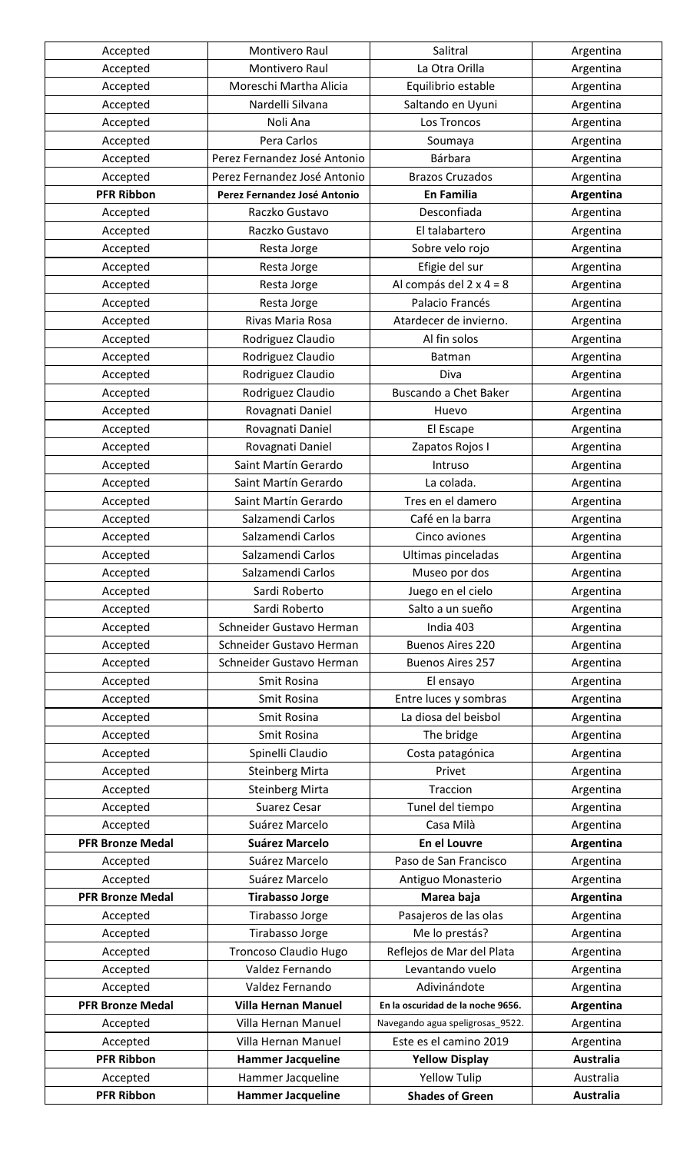| Accepted                | Montivero Raul               | Salitral                          | Argentina        |
|-------------------------|------------------------------|-----------------------------------|------------------|
| Accepted                | Montivero Raul               | La Otra Orilla                    | Argentina        |
| Accepted                | Moreschi Martha Alicia       | Equilibrio estable                | Argentina        |
| Accepted                | Nardelli Silvana             | Saltando en Uyuni                 | Argentina        |
| Accepted                | Noli Ana                     | Los Troncos                       | Argentina        |
| Accepted                | Pera Carlos                  | Soumaya                           | Argentina        |
| Accepted                | Perez Fernandez José Antonio | Bárbara                           | Argentina        |
| Accepted                | Perez Fernandez José Antonio | <b>Brazos Cruzados</b>            | Argentina        |
| <b>PFR Ribbon</b>       | Perez Fernandez José Antonio | <b>En Familia</b>                 | Argentina        |
| Accepted                | Raczko Gustavo               | Desconfiada                       | Argentina        |
| Accepted                | Raczko Gustavo               | El talabartero                    | Argentina        |
| Accepted                | Resta Jorge                  | Sobre velo rojo                   | Argentina        |
| Accepted                | Resta Jorge                  | Efigie del sur                    | Argentina        |
| Accepted                | Resta Jorge                  | Al compás del 2 x 4 = 8           | Argentina        |
| Accepted                | Resta Jorge                  | Palacio Francés                   | Argentina        |
| Accepted                | Rivas Maria Rosa             | Atardecer de invierno.            | Argentina        |
| Accepted                | Rodriguez Claudio            | Al fin solos                      | Argentina        |
| Accepted                | Rodriguez Claudio            | Batman                            | Argentina        |
| Accepted                | Rodriguez Claudio            | Diva                              | Argentina        |
| Accepted                | Rodriguez Claudio            | <b>Buscando a Chet Baker</b>      | Argentina        |
| Accepted                | Rovagnati Daniel             | Huevo                             | Argentina        |
| Accepted                | Rovagnati Daniel             | El Escape                         | Argentina        |
| Accepted                | Rovagnati Daniel             | Zapatos Rojos I                   | Argentina        |
| Accepted                | Saint Martín Gerardo         | Intruso                           | Argentina        |
| Accepted                | Saint Martín Gerardo         | La colada.                        | Argentina        |
| Accepted                | Saint Martín Gerardo         | Tres en el damero                 | Argentina        |
| Accepted                | Salzamendi Carlos            | Café en la barra                  | Argentina        |
|                         | Salzamendi Carlos            |                                   |                  |
| Accepted                |                              | Cinco aviones                     | Argentina        |
| Accepted                | Salzamendi Carlos            | Ultimas pinceladas                | Argentina        |
| Accepted                | Salzamendi Carlos            | Museo por dos                     | Argentina        |
| Accepted                | Sardi Roberto                | Juego en el cielo                 | Argentina        |
| Accepted                | Sardi Roberto                | Salto a un sueño                  | Argentina        |
| Accepted                | Schneider Gustavo Herman     | India 403                         | Argentina        |
| Accepted                | Schneider Gustavo Herman     | <b>Buenos Aires 220</b>           | Argentina        |
| Accepted                | Schneider Gustavo Herman     | <b>Buenos Aires 257</b>           | Argentina        |
| Accepted                | Smit Rosina                  | El ensayo                         | Argentina        |
| Accepted                | Smit Rosina                  | Entre luces y sombras             | Argentina        |
| Accepted                | Smit Rosina                  | La diosa del beisbol              | Argentina        |
| Accepted                | Smit Rosina                  | The bridge                        | Argentina        |
| Accepted                | Spinelli Claudio             | Costa patagónica                  | Argentina        |
| Accepted                | <b>Steinberg Mirta</b>       | Privet                            | Argentina        |
| Accepted                | <b>Steinberg Mirta</b>       | Traccion                          | Argentina        |
| Accepted                | Suarez Cesar                 | Tunel del tiempo                  | Argentina        |
| Accepted                | Suárez Marcelo               | Casa Milà                         | Argentina        |
| <b>PFR Bronze Medal</b> | <b>Suárez Marcelo</b>        | En el Louvre                      | Argentina        |
| Accepted                | Suárez Marcelo               | Paso de San Francisco             | Argentina        |
| Accepted                | Suárez Marcelo               | Antiguo Monasterio                | Argentina        |
| <b>PFR Bronze Medal</b> | <b>Tirabasso Jorge</b>       | Marea baja                        | Argentina        |
| Accepted                | Tirabasso Jorge              | Pasajeros de las olas             | Argentina        |
| Accepted                | Tirabasso Jorge              | Me lo prestás?                    | Argentina        |
| Accepted                | <b>Troncoso Claudio Hugo</b> | Reflejos de Mar del Plata         | Argentina        |
| Accepted                | Valdez Fernando              | Levantando vuelo                  | Argentina        |
| Accepted                | Valdez Fernando              | Adivinándote                      | Argentina        |
| <b>PFR Bronze Medal</b> | <b>Villa Hernan Manuel</b>   | En la oscuridad de la noche 9656. | Argentina        |
| Accepted                | Villa Hernan Manuel          | Navegando agua speligrosas_9522.  | Argentina        |
| Accepted                | Villa Hernan Manuel          | Este es el camino 2019            | Argentina        |
| <b>PFR Ribbon</b>       | <b>Hammer Jacqueline</b>     | <b>Yellow Display</b>             | <b>Australia</b> |
| Accepted                | Hammer Jacqueline            | <b>Yellow Tulip</b>               | Australia        |
| <b>PFR Ribbon</b>       | <b>Hammer Jacqueline</b>     | <b>Shades of Green</b>            | <b>Australia</b> |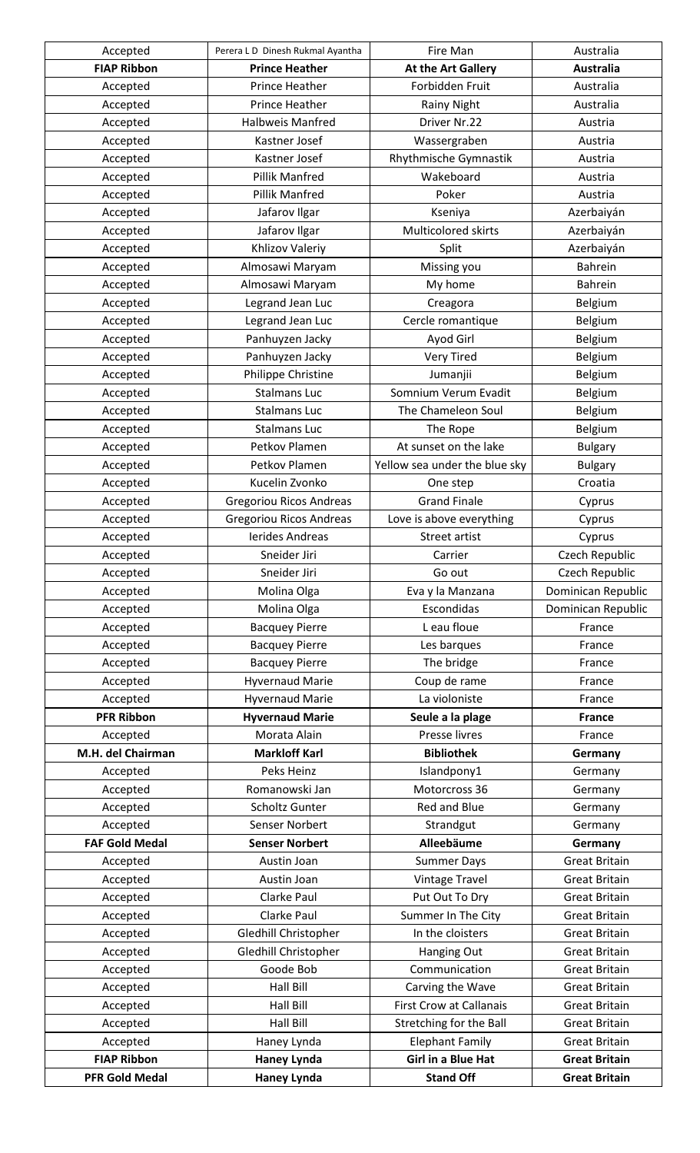| Accepted              | Perera L D Dinesh Rukmal Ayantha | Fire Man                       | Australia                |
|-----------------------|----------------------------------|--------------------------------|--------------------------|
| <b>FIAP Ribbon</b>    | <b>Prince Heather</b>            | At the Art Gallery             | <b>Australia</b>         |
| Accepted              | Prince Heather                   | Forbidden Fruit                | Australia                |
| Accepted              | Prince Heather                   | <b>Rainy Night</b>             | Australia                |
| Accepted              | <b>Halbweis Manfred</b>          | Driver Nr.22                   | Austria                  |
| Accepted              | Kastner Josef                    | Wassergraben                   | Austria                  |
| Accepted              | Kastner Josef                    | Rhythmische Gymnastik          | Austria                  |
| Accepted              | Pillik Manfred                   | Wakeboard                      | Austria                  |
| Accepted              | Pillik Manfred                   | Poker                          | Austria                  |
| Accepted              | Jafarov Ilgar                    | Kseniya                        | Azerbaiyán               |
| Accepted              | Jafarov Ilgar                    | <b>Multicolored skirts</b>     | Azerbaiyán               |
| Accepted              | Khlizov Valeriy                  | Split                          | Azerbaiyán               |
| Accepted              | Almosawi Maryam                  | Missing you                    | <b>Bahrein</b>           |
| Accepted              | Almosawi Maryam                  | My home                        | <b>Bahrein</b>           |
| Accepted              | Legrand Jean Luc                 | Creagora                       | Belgium                  |
| Accepted              | Legrand Jean Luc                 | Cercle romantique              | Belgium                  |
| Accepted              | Panhuyzen Jacky                  | Ayod Girl                      | <b>Belgium</b>           |
| Accepted              | Panhuyzen Jacky                  | <b>Very Tired</b>              | Belgium                  |
| Accepted              | Philippe Christine               | Jumanjii                       | Belgium                  |
| Accepted              | <b>Stalmans Luc</b>              | Somnium Verum Evadit           | <b>Belgium</b>           |
| Accepted              | <b>Stalmans Luc</b>              | The Chameleon Soul             | Belgium                  |
| Accepted              | <b>Stalmans Luc</b>              | The Rope                       | Belgium                  |
| Accepted              | Petkov Plamen                    | At sunset on the lake          | <b>Bulgary</b>           |
| Accepted              | Petkov Plamen                    | Yellow sea under the blue sky  | <b>Bulgary</b>           |
| Accepted              | Kucelin Zvonko                   | One step                       | Croatia                  |
| Accepted              | <b>Gregoriou Ricos Andreas</b>   | <b>Grand Finale</b>            | Cyprus                   |
| Accepted              | <b>Gregoriou Ricos Andreas</b>   | Love is above everything       | Cyprus                   |
| Accepted              | Ierides Andreas                  | <b>Street artist</b>           |                          |
|                       | Sneider Jiri                     |                                | Cyprus<br>Czech Republic |
| Accepted              |                                  | Carrier                        |                          |
| Accepted              | Sneider Jiri                     | Go out                         | Czech Republic           |
| Accepted              | Molina Olga                      | Eva y la Manzana<br>Escondidas | Dominican Republic       |
| Accepted              | Molina Olga                      |                                | Dominican Republic       |
| Accepted              | <b>Bacquey Pierre</b>            | L eau floue                    | France                   |
| Accepted              | <b>Bacquey Pierre</b>            | Les barques                    | France                   |
| Accepted              | <b>Bacquey Pierre</b>            | The bridge                     | France                   |
| Accepted              | <b>Hyvernaud Marie</b>           | Coup de rame                   | France                   |
| Accepted              | <b>Hyvernaud Marie</b>           | La violoniste                  | France                   |
| <b>PFR Ribbon</b>     | <b>Hyvernaud Marie</b>           | Seule a la plage               | <b>France</b>            |
| Accepted              | Morata Alain                     | Presse livres                  | France                   |
| M.H. del Chairman     | <b>Markloff Karl</b>             | <b>Bibliothek</b>              | Germany                  |
| Accepted              | Peks Heinz                       | Islandpony1                    | Germany                  |
| Accepted              | Romanowski Jan                   | Motorcross 36                  | Germany                  |
| Accepted              | Scholtz Gunter                   | Red and Blue                   | Germany                  |
| Accepted              | Senser Norbert                   | Strandgut                      | Germany                  |
| <b>FAF Gold Medal</b> | <b>Senser Norbert</b>            | Alleebäume                     | Germany                  |
| Accepted              | Austin Joan                      | <b>Summer Days</b>             | <b>Great Britain</b>     |
| Accepted              | Austin Joan                      | <b>Vintage Travel</b>          | <b>Great Britain</b>     |
| Accepted              | Clarke Paul                      | Put Out To Dry                 | <b>Great Britain</b>     |
| Accepted              | Clarke Paul                      | Summer In The City             | <b>Great Britain</b>     |
| Accepted              | Gledhill Christopher             | In the cloisters               | <b>Great Britain</b>     |
| Accepted              | Gledhill Christopher             | Hanging Out                    | <b>Great Britain</b>     |
| Accepted              | Goode Bob                        | Communication                  | <b>Great Britain</b>     |
| Accepted              | Hall Bill                        | Carving the Wave               | <b>Great Britain</b>     |
| Accepted              | Hall Bill                        | <b>First Crow at Callanais</b> | <b>Great Britain</b>     |
| Accepted              | <b>Hall Bill</b>                 | Stretching for the Ball        | <b>Great Britain</b>     |
| Accepted              | Haney Lynda                      | <b>Elephant Family</b>         | <b>Great Britain</b>     |
| <b>FIAP Ribbon</b>    | <b>Haney Lynda</b>               | <b>Girl in a Blue Hat</b>      | <b>Great Britain</b>     |
| <b>PFR Gold Medal</b> | <b>Haney Lynda</b>               | <b>Stand Off</b>               | <b>Great Britain</b>     |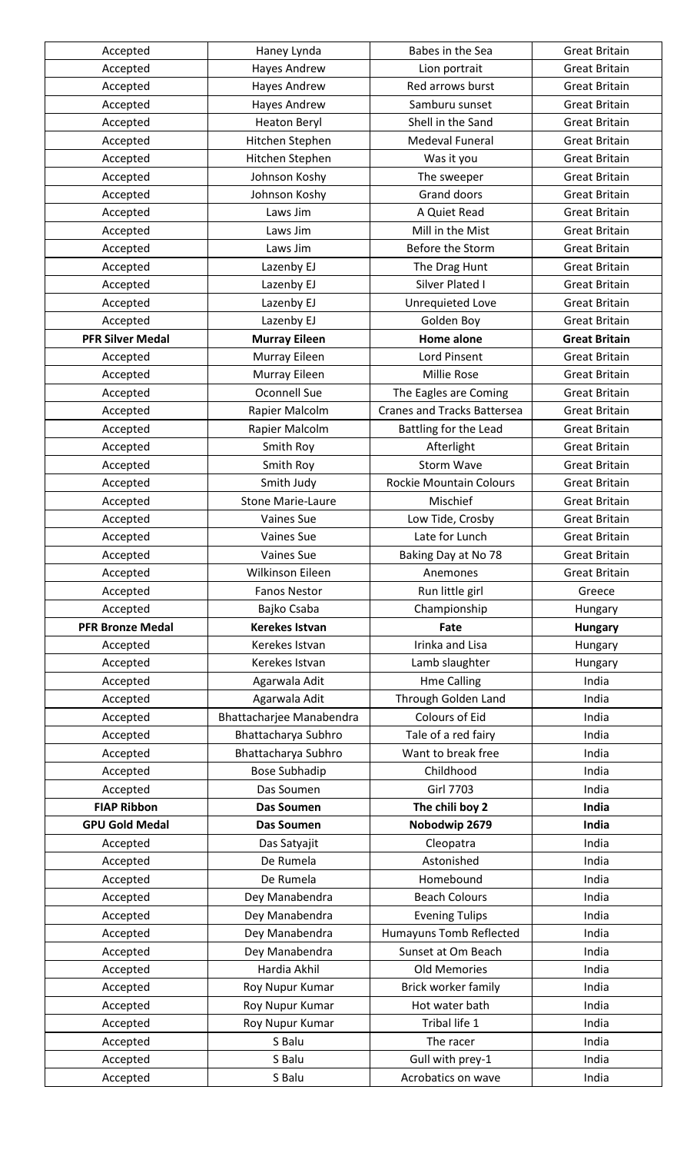| Accepted                | Haney Lynda               | Babes in the Sea                       | <b>Great Britain</b> |
|-------------------------|---------------------------|----------------------------------------|----------------------|
| Accepted                | Hayes Andrew              | Lion portrait                          | <b>Great Britain</b> |
| Accepted                | Hayes Andrew              | Red arrows burst                       | <b>Great Britain</b> |
| Accepted                | Hayes Andrew              | Samburu sunset                         | <b>Great Britain</b> |
| Accepted                | <b>Heaton Beryl</b>       | Shell in the Sand                      | <b>Great Britain</b> |
| Accepted                | Hitchen Stephen           | <b>Medeval Funeral</b>                 | <b>Great Britain</b> |
| Accepted                | Hitchen Stephen           | Was it you                             | <b>Great Britain</b> |
| Accepted                | Johnson Koshy             | The sweeper                            | <b>Great Britain</b> |
| Accepted                | Johnson Koshy             | <b>Grand doors</b>                     | <b>Great Britain</b> |
| Accepted                | Laws Jim                  | A Quiet Read                           | <b>Great Britain</b> |
| Accepted                | Laws Jim                  | Mill in the Mist                       | <b>Great Britain</b> |
| Accepted                | Laws Jim                  | Before the Storm                       | <b>Great Britain</b> |
| Accepted                | Lazenby EJ                | The Drag Hunt                          | <b>Great Britain</b> |
| Accepted                | Lazenby EJ                | Silver Plated I                        | <b>Great Britain</b> |
| Accepted                | Lazenby EJ                | Unrequieted Love                       | <b>Great Britain</b> |
| Accepted                | Lazenby EJ                | Golden Boy                             | <b>Great Britain</b> |
| <b>PFR Silver Medal</b> | <b>Murray Eileen</b>      | <b>Home alone</b>                      | <b>Great Britain</b> |
|                         |                           | Lord Pinsent                           | <b>Great Britain</b> |
| Accepted                | Murray Eileen             | Millie Rose                            |                      |
| Accepted                | Murray Eileen             |                                        | <b>Great Britain</b> |
| Accepted                | Oconnell Sue              | The Eagles are Coming                  | <b>Great Britain</b> |
| Accepted                | Rapier Malcolm            | <b>Cranes and Tracks Battersea</b>     | <b>Great Britain</b> |
| Accepted                | Rapier Malcolm            | Battling for the Lead                  | <b>Great Britain</b> |
| Accepted                | Smith Roy                 | Afterlight                             | <b>Great Britain</b> |
| Accepted                | Smith Roy                 | <b>Storm Wave</b>                      | <b>Great Britain</b> |
| Accepted                | Smith Judy                | <b>Rockie Mountain Colours</b>         | <b>Great Britain</b> |
| Accepted                | <b>Stone Marie-Laure</b>  | Mischief                               | <b>Great Britain</b> |
| Accepted                | <b>Vaines Sue</b>         | Low Tide, Crosby                       | <b>Great Britain</b> |
| Accepted                | Vaines Sue                | Late for Lunch                         | <b>Great Britain</b> |
| Accepted                | Vaines Sue                | Baking Day at No 78                    | <b>Great Britain</b> |
|                         |                           |                                        |                      |
| Accepted                | Wilkinson Eileen          | Anemones                               | <b>Great Britain</b> |
| Accepted                | <b>Fanos Nestor</b>       | Run little girl                        | Greece               |
| Accepted                | Bajko Csaba               | Championship                           | Hungary              |
| <b>PFR Bronze Medal</b> | <b>Kerekes Istvan</b>     | Fate                                   | <b>Hungary</b>       |
| Accepted                | Kerekes Istvan            | Irinka and Lisa                        | Hungary              |
| Accepted                | Kerekes Istvan            | Lamb slaughter                         | Hungary              |
| Accepted                | Agarwala Adit             | <b>Hme Calling</b>                     | India                |
| Accepted                | Agarwala Adit             | Through Golden Land                    | India                |
| Accepted                | Bhattacharjee Manabendra  | Colours of Eid                         | India                |
| Accepted                | Bhattacharya Subhro       | Tale of a red fairy                    | India                |
| Accepted                | Bhattacharya Subhro       | Want to break free                     | India                |
| Accepted                | <b>Bose Subhadip</b>      | Childhood                              | India                |
| Accepted                | Das Soumen                | <b>Girl 7703</b>                       | India                |
| <b>FIAP Ribbon</b>      | <b>Das Soumen</b>         | The chili boy 2                        | India                |
| <b>GPU Gold Medal</b>   | <b>Das Soumen</b>         | Nobodwip 2679                          | India                |
|                         |                           |                                        | India                |
| Accepted                | Das Satyajit<br>De Rumela | Cleopatra<br>Astonished                | India                |
| Accepted                |                           |                                        |                      |
| Accepted                | De Rumela                 | Homebound                              | India                |
| Accepted                | Dey Manabendra            | <b>Beach Colours</b>                   | India                |
| Accepted                | Dey Manabendra            | <b>Evening Tulips</b>                  | India                |
| Accepted                | Dey Manabendra            | <b>Humayuns Tomb Reflected</b>         | India                |
| Accepted                | Dey Manabendra            | Sunset at Om Beach                     | India                |
| Accepted                | Hardia Akhil              | <b>Old Memories</b>                    | India                |
| Accepted                | Roy Nupur Kumar           | Brick worker family                    | India                |
| Accepted                | Roy Nupur Kumar           | Hot water bath                         | India                |
| Accepted                | Roy Nupur Kumar           | Tribal life 1                          | India                |
| Accepted                | S Balu                    | The racer                              | India                |
| Accepted<br>Accepted    | S Balu<br>S Balu          | Gull with prey-1<br>Acrobatics on wave | India<br>India       |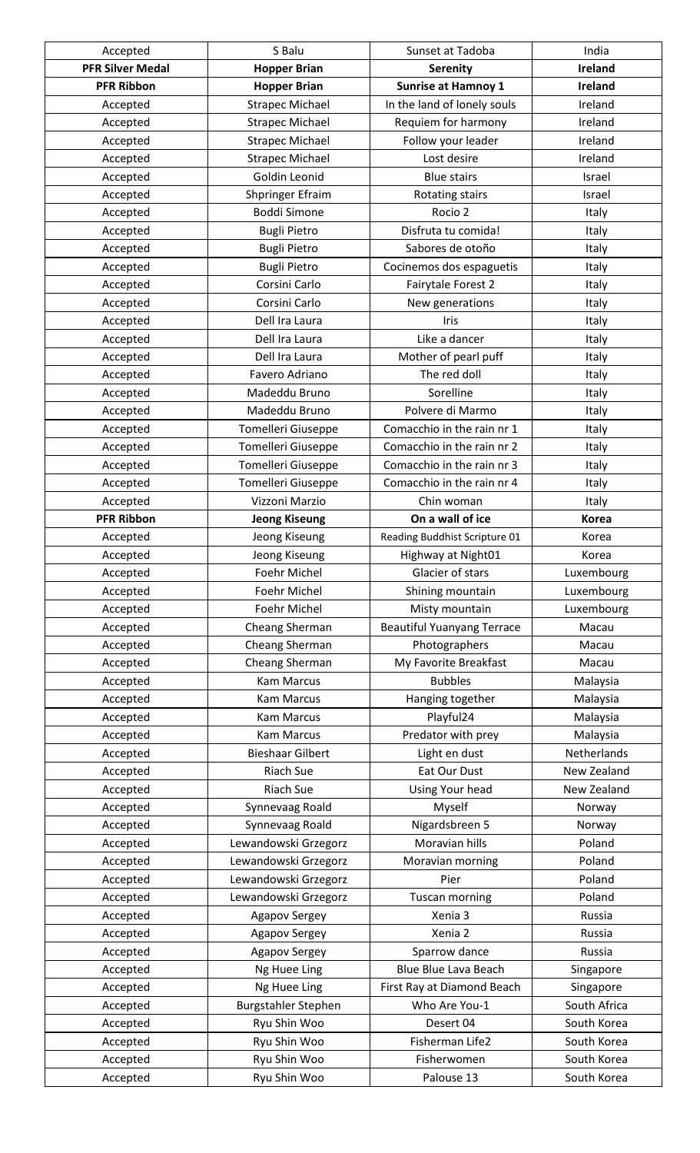| Accepted                | S Balu                  | Sunset at Tadoba                  | India          |
|-------------------------|-------------------------|-----------------------------------|----------------|
| <b>PFR Silver Medal</b> | <b>Hopper Brian</b>     | <b>Serenity</b>                   | <b>Ireland</b> |
| <b>PFR Ribbon</b>       | <b>Hopper Brian</b>     | <b>Sunrise at Hamnoy 1</b>        | <b>Ireland</b> |
| Accepted                | <b>Strapec Michael</b>  | In the land of lonely souls       | Ireland        |
| Accepted                | <b>Strapec Michael</b>  | Requiem for harmony               | Ireland        |
| Accepted                | <b>Strapec Michael</b>  | Follow your leader                | Ireland        |
| Accepted                | <b>Strapec Michael</b>  | Lost desire                       | Ireland        |
| Accepted                | Goldin Leonid           | <b>Blue stairs</b>                | Israel         |
| Accepted                | Shpringer Efraim        | Rotating stairs                   | Israel         |
| Accepted                | <b>Boddi Simone</b>     | Rocio 2                           | Italy          |
| Accepted                | <b>Bugli Pietro</b>     | Disfruta tu comida!               | Italy          |
| Accepted                | <b>Bugli Pietro</b>     | Sabores de otoño                  | Italy          |
| Accepted                | <b>Bugli Pietro</b>     | Cocinemos dos espaguetis          | Italy          |
| Accepted                | Corsini Carlo           | Fairytale Forest 2                | Italy          |
| Accepted                | Corsini Carlo           | New generations                   | Italy          |
| Accepted                | Dell Ira Laura          | Iris                              | Italy          |
| Accepted                | Dell Ira Laura          | Like a dancer                     | Italy          |
| Accepted                | Dell Ira Laura          | Mother of pearl puff              | Italy          |
| Accepted                | Favero Adriano          | The red doll                      | Italy          |
| Accepted                | Madeddu Bruno           | Sorelline                         | Italy          |
| Accepted                | Madeddu Bruno           | Polvere di Marmo                  | Italy          |
| Accepted                | Tomelleri Giuseppe      | Comacchio in the rain nr 1        | Italy          |
| Accepted                | Tomelleri Giuseppe      | Comacchio in the rain nr 2        | Italy          |
| Accepted                | Tomelleri Giuseppe      | Comacchio in the rain nr 3        | Italy          |
| Accepted                | Tomelleri Giuseppe      | Comacchio in the rain nr 4        | Italy          |
| Accepted                | Vizzoni Marzio          | Chin woman                        | Italy          |
| <b>PFR Ribbon</b>       | <b>Jeong Kiseung</b>    | On a wall of ice                  | <b>Korea</b>   |
| Accepted                | Jeong Kiseung           | Reading Buddhist Scripture 01     | Korea          |
| Accepted                | Jeong Kiseung           | Highway at Night01                | Korea          |
| Accepted                | Foehr Michel            | Glacier of stars                  | Luxembourg     |
| Accepted                | Foehr Michel            | Shining mountain                  | Luxembourg     |
| Accepted                | Foehr Michel            | Misty mountain                    | Luxembourg     |
| Accepted                | Cheang Sherman          | <b>Beautiful Yuanyang Terrace</b> | Macau          |
| Accepted                | Cheang Sherman          | Photographers                     | Macau          |
| Accepted                | Cheang Sherman          | My Favorite Breakfast             | Macau          |
| Accepted                | <b>Kam Marcus</b>       | <b>Bubbles</b>                    | Malaysia       |
| Accepted                | <b>Kam Marcus</b>       | Hanging together                  | Malaysia       |
| Accepted                | <b>Kam Marcus</b>       | Playful24                         | Malaysia       |
| Accepted                | <b>Kam Marcus</b>       | Predator with prey                | Malaysia       |
| Accepted                | <b>Bieshaar Gilbert</b> | Light en dust                     | Netherlands    |
| Accepted                | <b>Riach Sue</b>        | Eat Our Dust                      | New Zealand    |
| Accepted                | Riach Sue               | Using Your head                   | New Zealand    |
| Accepted                | Synnevaag Roald         | Myself                            | Norway         |
| Accepted                | Synnevaag Roald         | Nigardsbreen 5                    | Norway         |
| Accepted                | Lewandowski Grzegorz    | Moravian hills                    | Poland         |
| Accepted                | Lewandowski Grzegorz    | Moravian morning                  | Poland         |
| Accepted                | Lewandowski Grzegorz    | Pier                              | Poland         |
| Accepted                | Lewandowski Grzegorz    | <b>Tuscan morning</b>             | Poland         |
| Accepted                | Agapov Sergey           | Xenia 3                           | Russia         |
| Accepted                | Agapov Sergey           | Xenia 2                           | Russia         |
| Accepted                | Agapov Sergey           | Sparrow dance                     | Russia         |
| Accepted                | Ng Huee Ling            | <b>Blue Blue Lava Beach</b>       | Singapore      |
| Accepted                | Ng Huee Ling            | First Ray at Diamond Beach        | Singapore      |
| Accepted                | Burgstahler Stephen     | Who Are You-1                     | South Africa   |
| Accepted                | Ryu Shin Woo            | Desert 04                         | South Korea    |
| Accepted                | Ryu Shin Woo            | Fisherman Life2                   | South Korea    |
| Accepted                | Ryu Shin Woo            | Fisherwomen                       | South Korea    |
| Accepted                | Ryu Shin Woo            | Palouse 13                        | South Korea    |